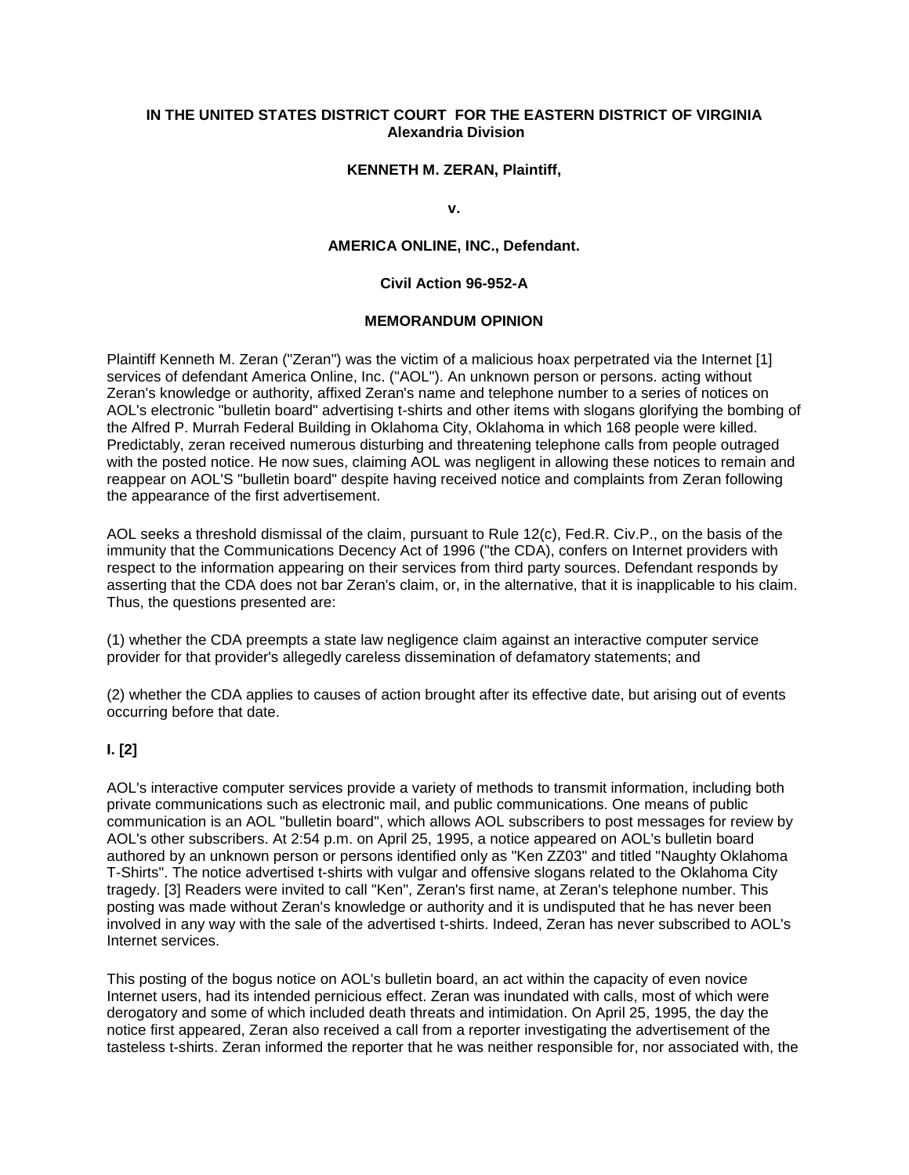## **IN THE UNITED STATES DISTRICT COURT FOR THE EASTERN DISTRICT OF VIRGINIA Alexandria Division**

### **KENNETH M. ZERAN, Plaintiff,**

**v.**

## **AMERICA ONLINE, INC., Defendant.**

### **Civil Action 96-952-A**

#### **MEMORANDUM OPINION**

Plaintiff Kenneth M. Zeran ("Zeran") was the victim of a malicious hoax perpetrated via the Internet [1] services of defendant America Online, Inc. ("AOL"). An unknown person or persons. acting without Zeran's knowledge or authority, affixed Zeran's name and telephone number to a series of notices on AOL's electronic "bulletin board" advertising t-shirts and other items with slogans glorifying the bombing of the Alfred P. Murrah Federal Building in Oklahoma City, Oklahoma in which 168 people were killed. Predictably, zeran received numerous disturbing and threatening telephone calls from people outraged with the posted notice. He now sues, claiming AOL was negligent in allowing these notices to remain and reappear on AOL'S "bulletin board" despite having received notice and complaints from Zeran following the appearance of the first advertisement.

AOL seeks a threshold dismissal of the claim, pursuant to Rule 12(c), Fed.R. Civ.P., on the basis of the immunity that the Communications Decency Act of 1996 ("the CDA), confers on Internet providers with respect to the information appearing on their services from third party sources. Defendant responds by asserting that the CDA does not bar Zeran's claim, or, in the alternative, that it is inapplicable to his claim. Thus, the questions presented are:

(1) whether the CDA preempts a state law negligence claim against an interactive computer service provider for that provider's allegedly careless dissemination of defamatory statements; and

(2) whether the CDA applies to causes of action brought after its effective date, but arising out of events occurring before that date.

### **I. [2]**

AOL's interactive computer services provide a variety of methods to transmit information, including both private communications such as electronic mail, and public communications. One means of public communication is an AOL "bulletin board", which allows AOL subscribers to post messages for review by AOL's other subscribers. At 2:54 p.m. on April 25, 1995, a notice appeared on AOL's bulletin board authored by an unknown person or persons identified only as "Ken ZZ03" and titled "Naughty Oklahoma T-Shirts". The notice advertised t-shirts with vulgar and offensive slogans related to the Oklahoma City tragedy. [3] Readers were invited to call "Ken", Zeran's first name, at Zeran's telephone number. This posting was made without Zeran's knowledge or authority and it is undisputed that he has never been involved in any way with the sale of the advertised t-shirts. Indeed, Zeran has never subscribed to AOL's Internet services.

This posting of the bogus notice on AOL's bulletin board, an act within the capacity of even novice Internet users, had its intended pernicious effect. Zeran was inundated with calls, most of which were derogatory and some of which included death threats and intimidation. On April 25, 1995, the day the notice first appeared, Zeran also received a call from a reporter investigating the advertisement of the tasteless t-shirts. Zeran informed the reporter that he was neither responsible for, nor associated with, the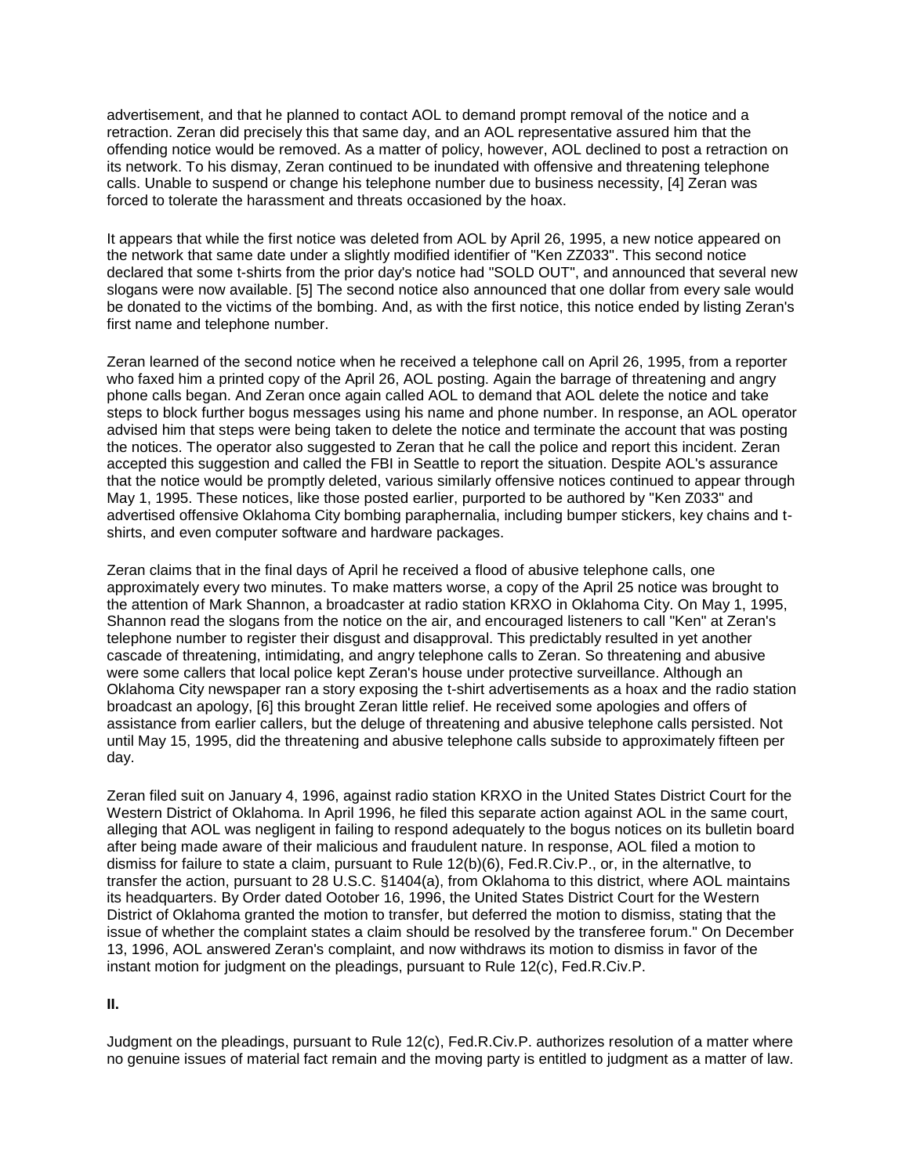advertisement, and that he planned to contact AOL to demand prompt removal of the notice and a retraction. Zeran did precisely this that same day, and an AOL representative assured him that the offending notice would be removed. As a matter of policy, however, AOL declined to post a retraction on its network. To his dismay, Zeran continued to be inundated with offensive and threatening telephone calls. Unable to suspend or change his telephone number due to business necessity, [4] Zeran was forced to tolerate the harassment and threats occasioned by the hoax.

It appears that while the first notice was deleted from AOL by April 26, 1995, a new notice appeared on the network that same date under a slightly modified identifier of "Ken ZZ033". This second notice declared that some t-shirts from the prior day's notice had "SOLD OUT", and announced that several new slogans were now available. [5] The second notice also announced that one dollar from every sale would be donated to the victims of the bombing. And, as with the first notice, this notice ended by listing Zeran's first name and telephone number.

Zeran learned of the second notice when he received a telephone call on April 26, 1995, from a reporter who faxed him a printed copy of the April 26, AOL posting. Again the barrage of threatening and angry phone calls began. And Zeran once again called AOL to demand that AOL delete the notice and take steps to block further bogus messages using his name and phone number. In response, an AOL operator advised him that steps were being taken to delete the notice and terminate the account that was posting the notices. The operator also suggested to Zeran that he call the police and report this incident. Zeran accepted this suggestion and called the FBI in Seattle to report the situation. Despite AOL's assurance that the notice would be promptly deleted, various similarly offensive notices continued to appear through May 1, 1995. These notices, like those posted earlier, purported to be authored by "Ken Z033" and advertised offensive Oklahoma City bombing paraphernalia, including bumper stickers, key chains and tshirts, and even computer software and hardware packages.

Zeran claims that in the final days of April he received a flood of abusive telephone calls, one approximately every two minutes. To make matters worse, a copy of the April 25 notice was brought to the attention of Mark Shannon, a broadcaster at radio station KRXO in Oklahoma City. On May 1, 1995, Shannon read the slogans from the notice on the air, and encouraged listeners to call "Ken" at Zeran's telephone number to register their disgust and disapproval. This predictably resulted in yet another cascade of threatening, intimidating, and angry telephone calls to Zeran. So threatening and abusive were some callers that local police kept Zeran's house under protective surveillance. Although an Oklahoma City newspaper ran a story exposing the t-shirt advertisements as a hoax and the radio station broadcast an apology, [6] this brought Zeran little relief. He received some apologies and offers of assistance from earlier callers, but the deluge of threatening and abusive telephone calls persisted. Not until May 15, 1995, did the threatening and abusive telephone calls subside to approximately fifteen per day.

Zeran filed suit on January 4, 1996, against radio station KRXO in the United States District Court for the Western District of Oklahoma. In April 1996, he filed this separate action against AOL in the same court, alleging that AOL was negligent in failing to respond adequately to the bogus notices on its bulletin board after being made aware of their malicious and fraudulent nature. In response, AOL filed a motion to dismiss for failure to state a claim, pursuant to Rule 12(b)(6), Fed.R.Civ.P., or, in the alternatlve, to transfer the action, pursuant to 28 U.S.C. §1404(a), from Oklahoma to this district, where AOL maintains its headquarters. By Order dated Ootober 16, 1996, the United States District Court for the Western District of Oklahoma granted the motion to transfer, but deferred the motion to dismiss, stating that the issue of whether the complaint states a claim should be resolved by the transferee forum." On December 13, 1996, AOL answered Zeran's complaint, and now withdraws its motion to dismiss in favor of the instant motion for judgment on the pleadings, pursuant to Rule 12(c), Fed.R.Civ.P.

**II.**

Judgment on the pleadings, pursuant to Rule 12(c), Fed.R.Civ.P. authorizes resolution of a matter where no genuine issues of material fact remain and the moving party is entitled to judgment as a matter of law.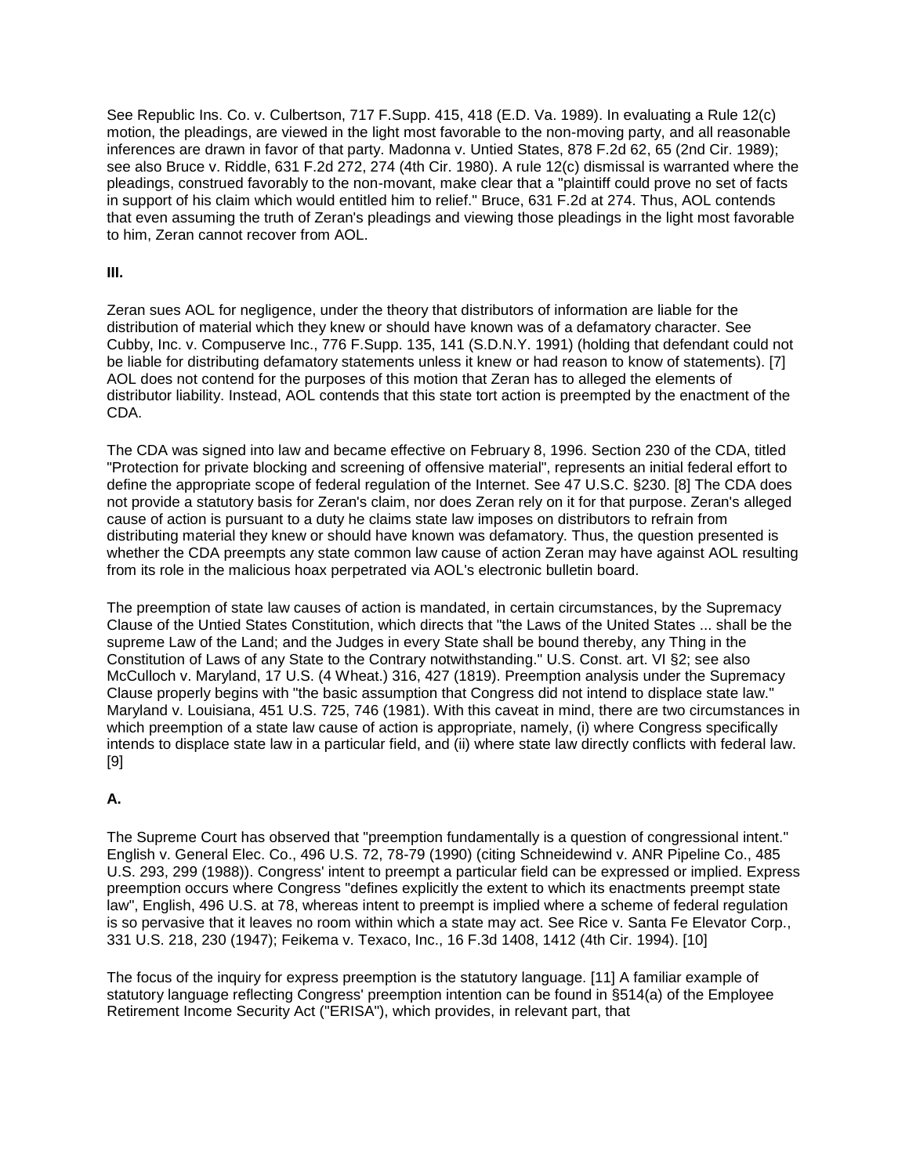See Republic Ins. Co. v. Culbertson, 717 F.Supp. 415, 418 (E.D. Va. 1989). In evaluating a Rule 12(c) motion, the pleadings, are viewed in the light most favorable to the non-moving party, and all reasonable inferences are drawn in favor of that party. Madonna v. Untied States, 878 F.2d 62, 65 (2nd Cir. 1989); see also Bruce v. Riddle, 631 F.2d 272, 274 (4th Cir. 1980). A rule 12(c) dismissal is warranted where the pleadings, construed favorably to the non-movant, make clear that a "plaintiff could prove no set of facts in support of his claim which would entitled him to relief." Bruce, 631 F.2d at 274. Thus, AOL contends that even assuming the truth of Zeran's pleadings and viewing those pleadings in the light most favorable to him, Zeran cannot recover from AOL.

## **III.**

Zeran sues AOL for negligence, under the theory that distributors of information are liable for the distribution of material which they knew or should have known was of a defamatory character. See Cubby, Inc. v. Compuserve Inc., 776 F.Supp. 135, 141 (S.D.N.Y. 1991) (holding that defendant could not be liable for distributing defamatory statements unless it knew or had reason to know of statements). [7] AOL does not contend for the purposes of this motion that Zeran has to alleged the elements of distributor liability. Instead, AOL contends that this state tort action is preempted by the enactment of the CDA.

The CDA was signed into law and became effective on February 8, 1996. Section 230 of the CDA, titled "Protection for private blocking and screening of offensive material", represents an initial federal effort to define the appropriate scope of federal regulation of the Internet. See 47 U.S.C. §230. [8] The CDA does not provide a statutory basis for Zeran's claim, nor does Zeran rely on it for that purpose. Zeran's alleged cause of action is pursuant to a duty he claims state law imposes on distributors to refrain from distributing material they knew or should have known was defamatory. Thus, the question presented is whether the CDA preempts any state common law cause of action Zeran may have against AOL resulting from its role in the malicious hoax perpetrated via AOL's electronic bulletin board.

The preemption of state law causes of action is mandated, in certain circumstances, by the Supremacy Clause of the Untied States Constitution, which directs that "the Laws of the United States ... shall be the supreme Law of the Land; and the Judges in every State shall be bound thereby, any Thing in the Constitution of Laws of any State to the Contrary notwithstanding." U.S. Const. art. VI §2; see also McCulloch v. Maryland, 17 U.S. (4 Wheat.) 316, 427 (1819). Preemption analysis under the Supremacy Clause properly begins with "the basic assumption that Congress did not intend to displace state law." Maryland v. Louisiana, 451 U.S. 725, 746 (1981). With this caveat in mind, there are two circumstances in which preemption of a state law cause of action is appropriate, namely, (i) where Congress specifically intends to displace state law in a particular field, and (ii) where state law directly conflicts with federal law. [9]

# **A.**

The Supreme Court has observed that "preemption fundamentally is a question of congressional intent." English v. General Elec. Co., 496 U.S. 72, 78-79 (1990) (citing Schneidewind v. ANR Pipeline Co., 485 U.S. 293, 299 (1988)). Congress' intent to preempt a particular field can be expressed or implied. Express preemption occurs where Congress "defines explicitly the extent to which its enactments preempt state law", English, 496 U.S. at 78, whereas intent to preempt is implied where a scheme of federal regulation is so pervasive that it leaves no room within which a state may act. See Rice v. Santa Fe Elevator Corp., 331 U.S. 218, 230 (1947); Feikema v. Texaco, Inc., 16 F.3d 1408, 1412 (4th Cir. 1994). [10]

The focus of the inquiry for express preemption is the statutory language. [11] A familiar example of statutory language reflecting Congress' preemption intention can be found in §514(a) of the Employee Retirement Income Security Act ("ERISA"), which provides, in relevant part, that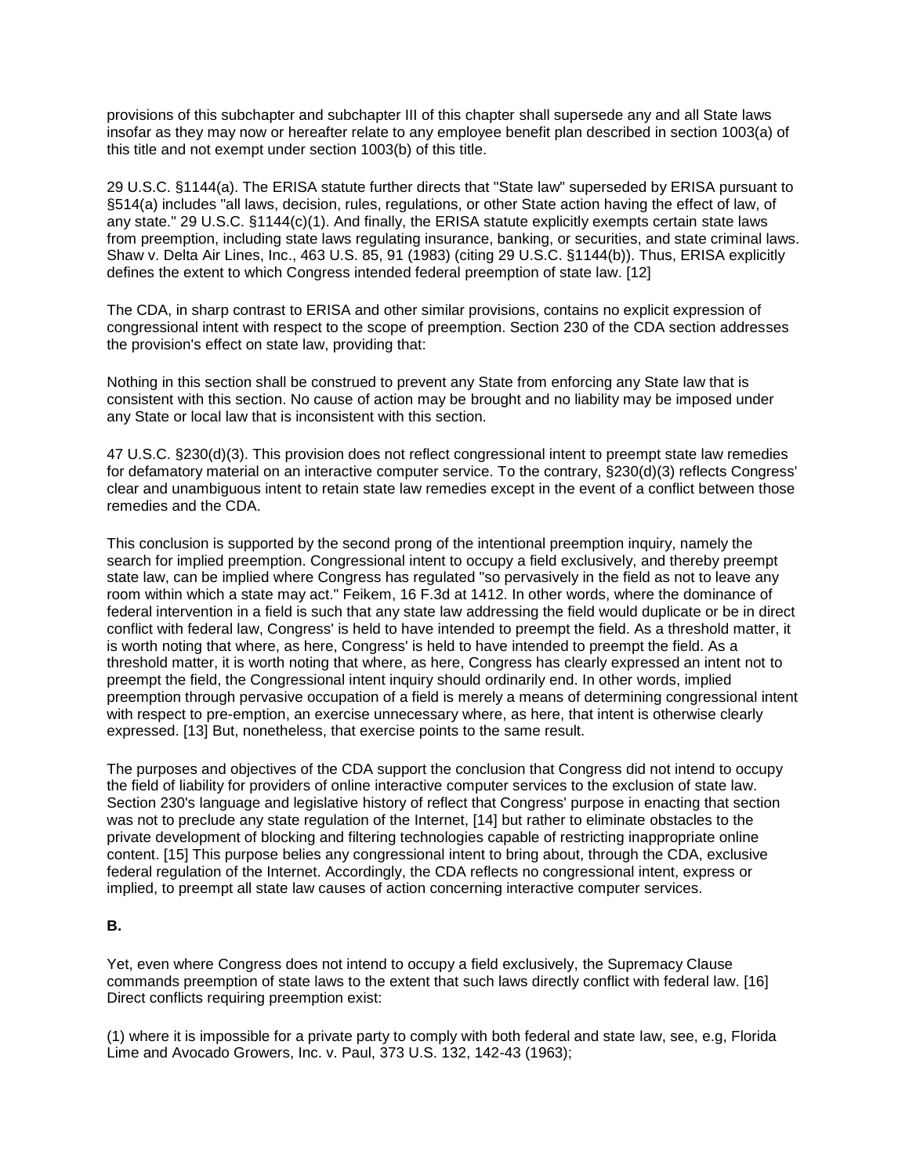provisions of this subchapter and subchapter III of this chapter shall supersede any and all State laws insofar as they may now or hereafter relate to any employee benefit plan described in section 1003(a) of this title and not exempt under section 1003(b) of this title.

29 U.S.C. §1144(a). The ERISA statute further directs that "State law" superseded by ERISA pursuant to §514(a) includes "all laws, decision, rules, regulations, or other State action having the effect of law, of any state." 29 U.S.C. §1144(c)(1). And finally, the ERISA statute explicitly exempts certain state laws from preemption, including state laws regulating insurance, banking, or securities, and state criminal laws. Shaw v. Delta Air Lines, Inc., 463 U.S. 85, 91 (1983) (citing 29 U.S.C. §1144(b)). Thus, ERISA explicitly defines the extent to which Congress intended federal preemption of state law. [12]

The CDA, in sharp contrast to ERISA and other similar provisions, contains no explicit expression of congressional intent with respect to the scope of preemption. Section 230 of the CDA section addresses the provision's effect on state law, providing that:

Nothing in this section shall be construed to prevent any State from enforcing any State law that is consistent with this section. No cause of action may be brought and no liability may be imposed under any State or local law that is inconsistent with this section.

47 U.S.C. §230(d)(3). This provision does not reflect congressional intent to preempt state law remedies for defamatory material on an interactive computer service. To the contrary, §230(d)(3) reflects Congress' clear and unambiguous intent to retain state law remedies except in the event of a conflict between those remedies and the CDA.

This conclusion is supported by the second prong of the intentional preemption inquiry, namely the search for implied preemption. Congressional intent to occupy a field exclusively, and thereby preempt state law, can be implied where Congress has regulated "so pervasively in the field as not to leave any room within which a state may act." Feikem, 16 F.3d at 1412. In other words, where the dominance of federal intervention in a field is such that any state law addressing the field would duplicate or be in direct conflict with federal law, Congress' is held to have intended to preempt the field. As a threshold matter, it is worth noting that where, as here, Congress' is held to have intended to preempt the field. As a threshold matter, it is worth noting that where, as here, Congress has clearly expressed an intent not to preempt the field, the Congressional intent inquiry should ordinarily end. In other words, implied preemption through pervasive occupation of a field is merely a means of determining congressional intent with respect to pre-emption, an exercise unnecessary where, as here, that intent is otherwise clearly expressed. [13] But, nonetheless, that exercise points to the same result.

The purposes and objectives of the CDA support the conclusion that Congress did not intend to occupy the field of liability for providers of online interactive computer services to the exclusion of state law. Section 230's language and legislative history of reflect that Congress' purpose in enacting that section was not to preclude any state regulation of the Internet, [14] but rather to eliminate obstacles to the private development of blocking and filtering technologies capable of restricting inappropriate online content. [15] This purpose belies any congressional intent to bring about, through the CDA, exclusive federal regulation of the Internet. Accordingly, the CDA reflects no congressional intent, express or implied, to preempt all state law causes of action concerning interactive computer services.

# **B.**

Yet, even where Congress does not intend to occupy a field exclusively, the Supremacy Clause commands preemption of state laws to the extent that such laws directly conflict with federal law. [16] Direct conflicts requiring preemption exist:

(1) where it is impossible for a private party to comply with both federal and state law, see, e.g, Florida Lime and Avocado Growers, Inc. v. Paul, 373 U.S. 132, 142-43 (1963);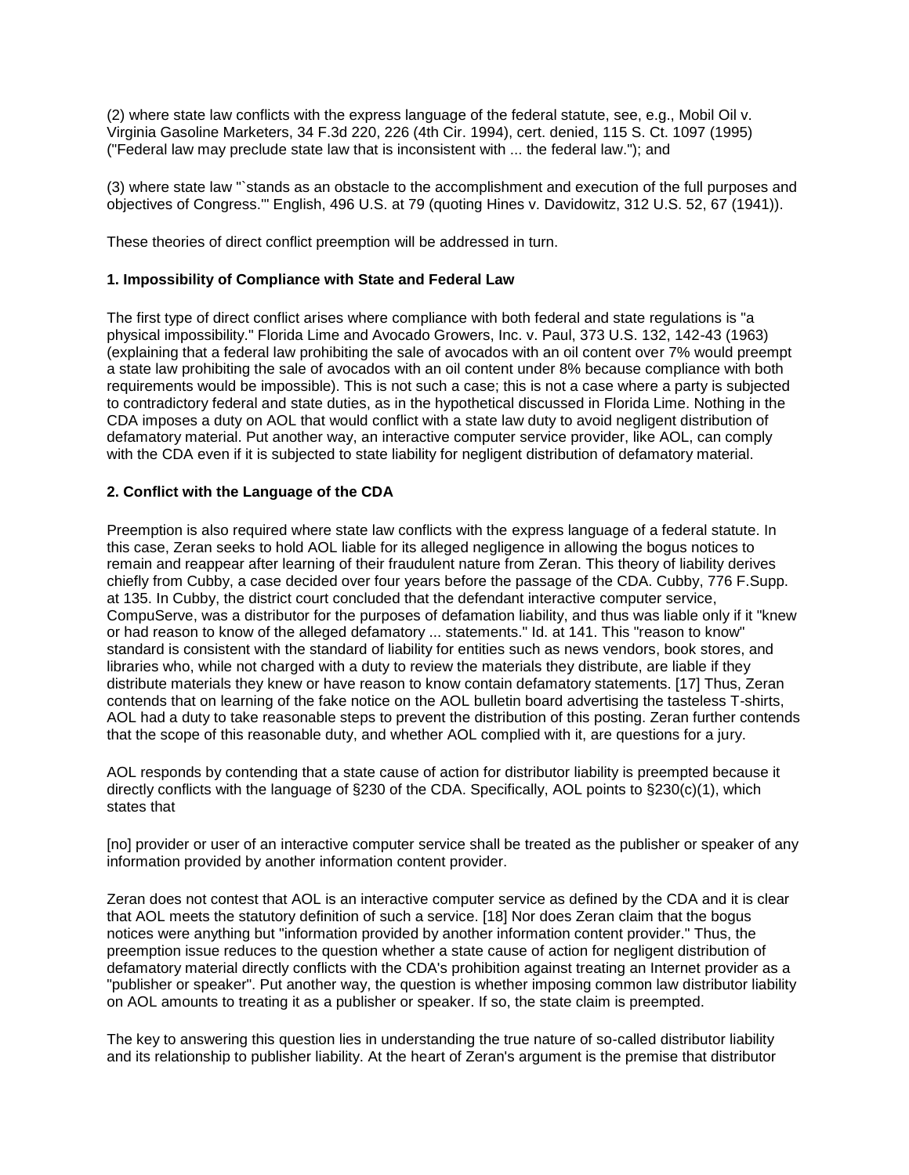(2) where state law conflicts with the express language of the federal statute, see, e.g., Mobil Oil v. Virginia Gasoline Marketers, 34 F.3d 220, 226 (4th Cir. 1994), cert. denied, 115 S. Ct. 1097 (1995) ("Federal law may preclude state law that is inconsistent with ... the federal law."); and

(3) where state law "`stands as an obstacle to the accomplishment and execution of the full purposes and objectives of Congress.'" English, 496 U.S. at 79 (quoting Hines v. Davidowitz, 312 U.S. 52, 67 (1941)).

These theories of direct conflict preemption will be addressed in turn.

### **1. Impossibility of Compliance with State and Federal Law**

The first type of direct conflict arises where compliance with both federal and state regulations is "a physical impossibility." Florida Lime and Avocado Growers, Inc. v. Paul, 373 U.S. 132, 142-43 (1963) (explaining that a federal law prohibiting the sale of avocados with an oil content over 7% would preempt a state law prohibiting the sale of avocados with an oil content under 8% because compliance with both requirements would be impossible). This is not such a case; this is not a case where a party is subjected to contradictory federal and state duties, as in the hypothetical discussed in Florida Lime. Nothing in the CDA imposes a duty on AOL that would conflict with a state law duty to avoid negligent distribution of defamatory material. Put another way, an interactive computer service provider, like AOL, can comply with the CDA even if it is subjected to state liability for negligent distribution of defamatory material.

## **2. Conflict with the Language of the CDA**

Preemption is also required where state law conflicts with the express language of a federal statute. In this case, Zeran seeks to hold AOL liable for its alleged negligence in allowing the bogus notices to remain and reappear after learning of their fraudulent nature from Zeran. This theory of liability derives chiefly from Cubby, a case decided over four years before the passage of the CDA. Cubby, 776 F.Supp. at 135. In Cubby, the district court concluded that the defendant interactive computer service, CompuServe, was a distributor for the purposes of defamation liability, and thus was liable only if it "knew or had reason to know of the alleged defamatory ... statements." Id. at 141. This "reason to know" standard is consistent with the standard of liability for entities such as news vendors, book stores, and libraries who, while not charged with a duty to review the materials they distribute, are liable if they distribute materials they knew or have reason to know contain defamatory statements. [17] Thus, Zeran contends that on learning of the fake notice on the AOL bulletin board advertising the tasteless T-shirts, AOL had a duty to take reasonable steps to prevent the distribution of this posting. Zeran further contends that the scope of this reasonable duty, and whether AOL complied with it, are questions for a jury.

AOL responds by contending that a state cause of action for distributor liability is preempted because it directly conflicts with the language of §230 of the CDA. Specifically, AOL points to §230(c)(1), which states that

[no] provider or user of an interactive computer service shall be treated as the publisher or speaker of any information provided by another information content provider.

Zeran does not contest that AOL is an interactive computer service as defined by the CDA and it is clear that AOL meets the statutory definition of such a service. [18] Nor does Zeran claim that the bogus notices were anything but "information provided by another information content provider." Thus, the preemption issue reduces to the question whether a state cause of action for negligent distribution of defamatory material directly conflicts with the CDA's prohibition against treating an Internet provider as a "publisher or speaker". Put another way, the question is whether imposing common law distributor liability on AOL amounts to treating it as a publisher or speaker. If so, the state claim is preempted.

The key to answering this question lies in understanding the true nature of so-called distributor liability and its relationship to publisher liability. At the heart of Zeran's argument is the premise that distributor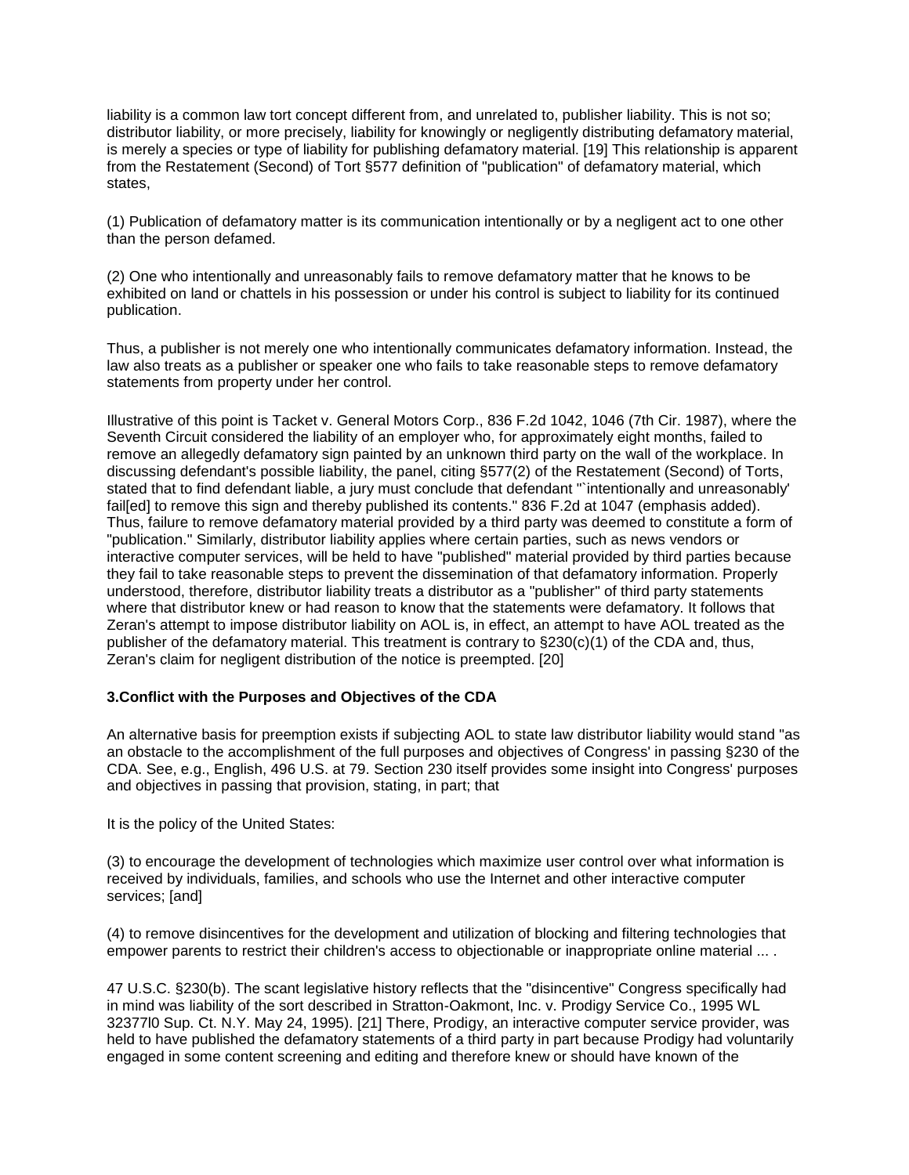liability is a common law tort concept different from, and unrelated to, publisher liability. This is not so; distributor liability, or more precisely, liability for knowingly or negligently distributing defamatory material, is merely a species or type of liability for publishing defamatory material. [19] This relationship is apparent from the Restatement (Second) of Tort §577 definition of "publication" of defamatory material, which states,

(1) Publication of defamatory matter is its communication intentionally or by a negligent act to one other than the person defamed.

(2) One who intentionally and unreasonably fails to remove defamatory matter that he knows to be exhibited on land or chattels in his possession or under his control is subject to liability for its continued publication.

Thus, a publisher is not merely one who intentionally communicates defamatory information. Instead, the law also treats as a publisher or speaker one who fails to take reasonable steps to remove defamatory statements from property under her control.

Illustrative of this point is Tacket v. General Motors Corp., 836 F.2d 1042, 1046 (7th Cir. 1987), where the Seventh Circuit considered the liability of an employer who, for approximately eight months, failed to remove an allegedly defamatory sign painted by an unknown third party on the wall of the workplace. In discussing defendant's possible liability, the panel, citing §577(2) of the Restatement (Second) of Torts, stated that to find defendant liable, a jury must conclude that defendant "`intentionally and unreasonably' fail[ed] to remove this sign and thereby published its contents." 836 F.2d at 1047 (emphasis added). Thus, failure to remove defamatory material provided by a third party was deemed to constitute a form of "publication." Similarly, distributor liability applies where certain parties, such as news vendors or interactive computer services, will be held to have "published" material provided by third parties because they fail to take reasonable steps to prevent the dissemination of that defamatory information. Properly understood, therefore, distributor liability treats a distributor as a "publisher" of third party statements where that distributor knew or had reason to know that the statements were defamatory. It follows that Zeran's attempt to impose distributor liability on AOL is, in effect, an attempt to have AOL treated as the publisher of the defamatory material. This treatment is contrary to  $\S 230(c)(1)$  of the CDA and, thus, Zeran's claim for negligent distribution of the notice is preempted. [20]

### **3.Conflict with the Purposes and Objectives of the CDA**

An alternative basis for preemption exists if subjecting AOL to state law distributor liability would stand "as an obstacle to the accomplishment of the full purposes and objectives of Congress' in passing §230 of the CDA. See, e.g., English, 496 U.S. at 79. Section 230 itself provides some insight into Congress' purposes and objectives in passing that provision, stating, in part; that

It is the policy of the United States:

(3) to encourage the development of technologies which maximize user control over what information is received by individuals, families, and schools who use the Internet and other interactive computer services; [and]

(4) to remove disincentives for the development and utilization of blocking and filtering technologies that empower parents to restrict their children's access to objectionable or inappropriate online material ... .

47 U.S.C. §230(b). The scant legislative history reflects that the "disincentive" Congress specifically had in mind was liability of the sort described in Stratton-Oakmont, Inc. v. Prodigy Service Co., 1995 WL 32377l0 Sup. Ct. N.Y. May 24, 1995). [21] There, Prodigy, an interactive computer service provider, was held to have published the defamatory statements of a third party in part because Prodigy had voluntarily engaged in some content screening and editing and therefore knew or should have known of the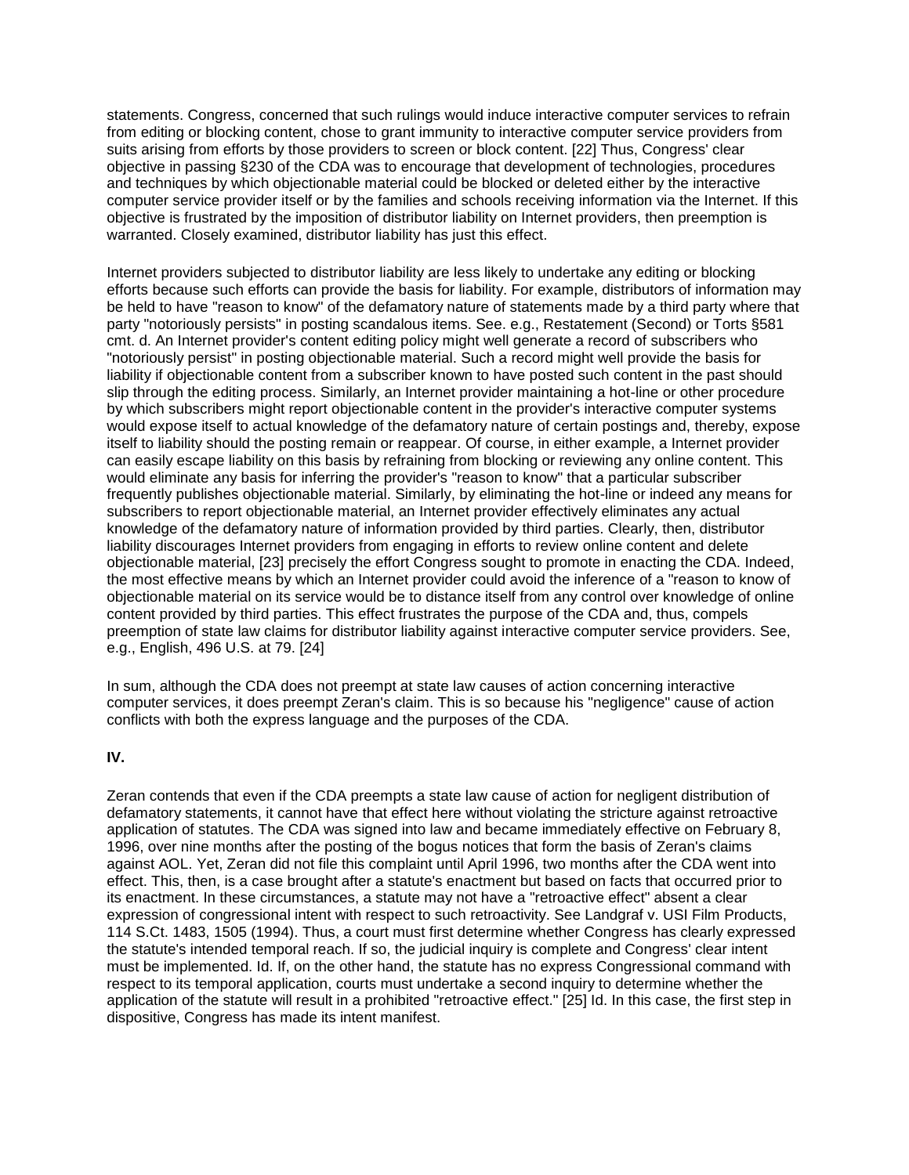statements. Congress, concerned that such rulings would induce interactive computer services to refrain from editing or blocking content, chose to grant immunity to interactive computer service providers from suits arising from efforts by those providers to screen or block content. [22] Thus, Congress' clear objective in passing §230 of the CDA was to encourage that development of technologies, procedures and techniques by which objectionable material could be blocked or deleted either by the interactive computer service provider itself or by the families and schools receiving information via the Internet. If this objective is frustrated by the imposition of distributor liability on Internet providers, then preemption is warranted. Closely examined, distributor liability has just this effect.

Internet providers subjected to distributor liability are less likely to undertake any editing or blocking efforts because such efforts can provide the basis for liability. For example, distributors of information may be held to have "reason to know" of the defamatory nature of statements made by a third party where that party "notoriously persists" in posting scandalous items. See. e.g., Restatement (Second) or Torts §581 cmt. d. An Internet provider's content editing policy might well generate a record of subscribers who "notoriously persist" in posting objectionable material. Such a record might well provide the basis for liability if objectionable content from a subscriber known to have posted such content in the past should slip through the editing process. Similarly, an Internet provider maintaining a hot-line or other procedure by which subscribers might report objectionable content in the provider's interactive computer systems would expose itself to actual knowledge of the defamatory nature of certain postings and, thereby, expose itself to liability should the posting remain or reappear. Of course, in either example, a Internet provider can easily escape liability on this basis by refraining from blocking or reviewing any online content. This would eliminate any basis for inferring the provider's "reason to know" that a particular subscriber frequently publishes objectionable material. Similarly, by eliminating the hot-line or indeed any means for subscribers to report objectionable material, an Internet provider effectively eliminates any actual knowledge of the defamatory nature of information provided by third parties. Clearly, then, distributor liability discourages Internet providers from engaging in efforts to review online content and delete objectionable material, [23] precisely the effort Congress sought to promote in enacting the CDA. Indeed, the most effective means by which an Internet provider could avoid the inference of a "reason to know of objectionable material on its service would be to distance itself from any control over knowledge of online content provided by third parties. This effect frustrates the purpose of the CDA and, thus, compels preemption of state law claims for distributor liability against interactive computer service providers. See, e.g., English, 496 U.S. at 79. [24]

In sum, although the CDA does not preempt at state law causes of action concerning interactive computer services, it does preempt Zeran's claim. This is so because his "negligence" cause of action conflicts with both the express language and the purposes of the CDA.

## **IV.**

Zeran contends that even if the CDA preempts a state law cause of action for negligent distribution of defamatory statements, it cannot have that effect here without violating the stricture against retroactive application of statutes. The CDA was signed into law and became immediately effective on February 8, 1996, over nine months after the posting of the bogus notices that form the basis of Zeran's claims against AOL. Yet, Zeran did not file this complaint until April 1996, two months after the CDA went into effect. This, then, is a case brought after a statute's enactment but based on facts that occurred prior to its enactment. In these circumstances, a statute may not have a "retroactive effect" absent a clear expression of congressional intent with respect to such retroactivity. See Landgraf v. USI Film Products, 114 S.Ct. 1483, 1505 (1994). Thus, a court must first determine whether Congress has clearly expressed the statute's intended temporal reach. If so, the judicial inquiry is complete and Congress' clear intent must be implemented. Id. If, on the other hand, the statute has no express Congressional command with respect to its temporal application, courts must undertake a second inquiry to determine whether the application of the statute will result in a prohibited "retroactive effect." [25] Id. In this case, the first step in dispositive, Congress has made its intent manifest.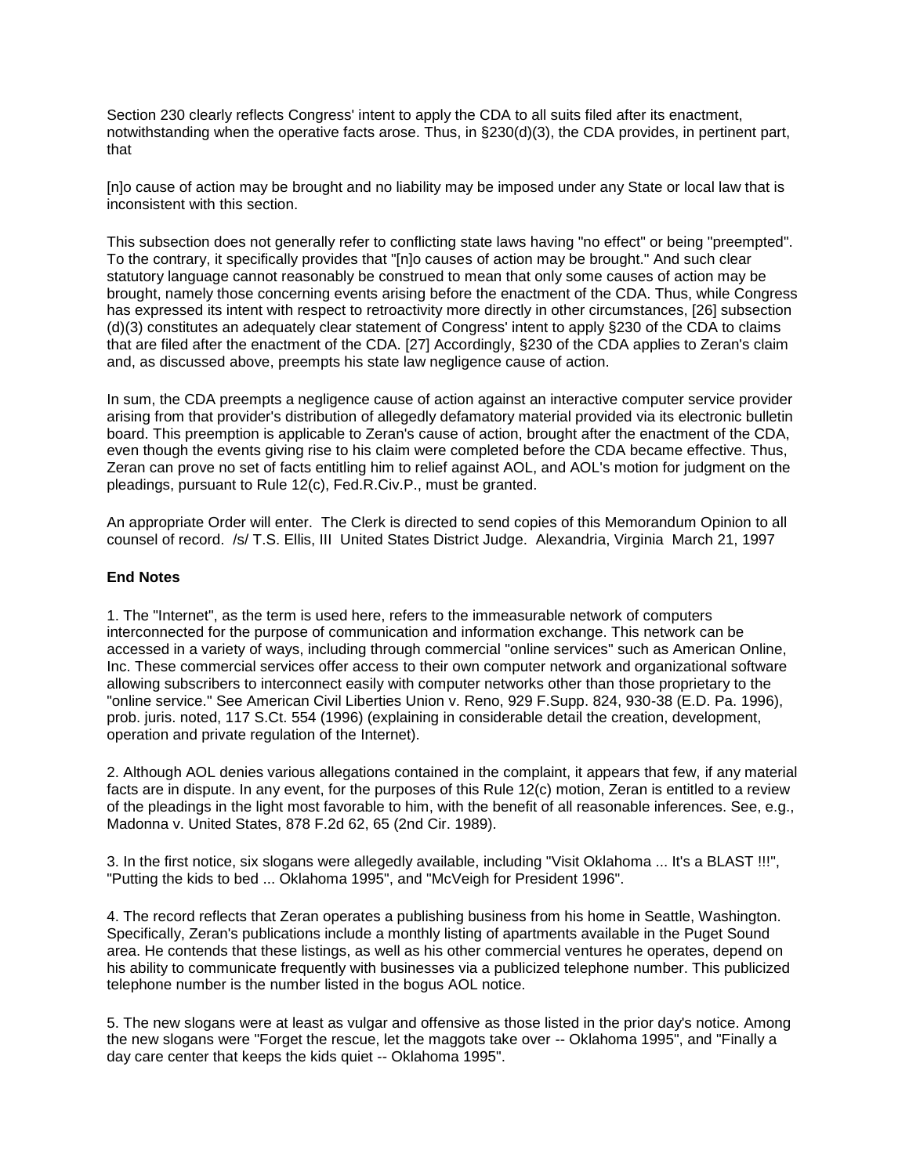Section 230 clearly reflects Congress' intent to apply the CDA to all suits filed after its enactment, notwithstanding when the operative facts arose. Thus, in §230(d)(3), the CDA provides, in pertinent part, that

[n]o cause of action may be brought and no liability may be imposed under any State or local law that is inconsistent with this section.

This subsection does not generally refer to conflicting state laws having "no effect" or being "preempted". To the contrary, it specifically provides that "[n]o causes of action may be brought." And such clear statutory language cannot reasonably be construed to mean that only some causes of action may be brought, namely those concerning events arising before the enactment of the CDA. Thus, while Congress has expressed its intent with respect to retroactivity more directly in other circumstances, [26] subsection (d)(3) constitutes an adequately clear statement of Congress' intent to apply §230 of the CDA to claims that are filed after the enactment of the CDA. [27] Accordingly, §230 of the CDA applies to Zeran's claim and, as discussed above, preempts his state law negligence cause of action.

In sum, the CDA preempts a negligence cause of action against an interactive computer service provider arising from that provider's distribution of allegedly defamatory material provided via its electronic bulletin board. This preemption is applicable to Zeran's cause of action, brought after the enactment of the CDA, even though the events giving rise to his claim were completed before the CDA became effective. Thus, Zeran can prove no set of facts entitling him to relief against AOL, and AOL's motion for judgment on the pleadings, pursuant to Rule 12(c), Fed.R.Civ.P., must be granted.

An appropriate Order will enter. The Clerk is directed to send copies of this Memorandum Opinion to all counsel of record. /s/ T.S. Ellis, III United States District Judge. Alexandria, Virginia March 21, 1997

#### **End Notes**

1. The "Internet", as the term is used here, refers to the immeasurable network of computers interconnected for the purpose of communication and information exchange. This network can be accessed in a variety of ways, including through commercial "online services" such as American Online, Inc. These commercial services offer access to their own computer network and organizational software allowing subscribers to interconnect easily with computer networks other than those proprietary to the "online service." See American Civil Liberties Union v. Reno, 929 F.Supp. 824, 930-38 (E.D. Pa. 1996), prob. juris. noted, 117 S.Ct. 554 (1996) (explaining in considerable detail the creation, development, operation and private regulation of the Internet).

2. Although AOL denies various allegations contained in the complaint, it appears that few, if any material facts are in dispute. In any event, for the purposes of this Rule 12(c) motion, Zeran is entitled to a review of the pleadings in the light most favorable to him, with the benefit of all reasonable inferences. See, e.g., Madonna v. United States, 878 F.2d 62, 65 (2nd Cir. 1989).

3. In the first notice, six slogans were allegedly available, including "Visit Oklahoma ... It's a BLAST !!!", "Putting the kids to bed ... Oklahoma 1995", and "McVeigh for President 1996".

4. The record reflects that Zeran operates a publishing business from his home in Seattle, Washington. Specifically, Zeran's publications include a monthly listing of apartments available in the Puget Sound area. He contends that these listings, as well as his other commercial ventures he operates, depend on his ability to communicate frequently with businesses via a publicized telephone number. This publicized telephone number is the number listed in the bogus AOL notice.

5. The new slogans were at least as vulgar and offensive as those listed in the prior day's notice. Among the new slogans were "Forget the rescue, let the maggots take over -- Oklahoma 1995", and "Finally a day care center that keeps the kids quiet -- Oklahoma 1995".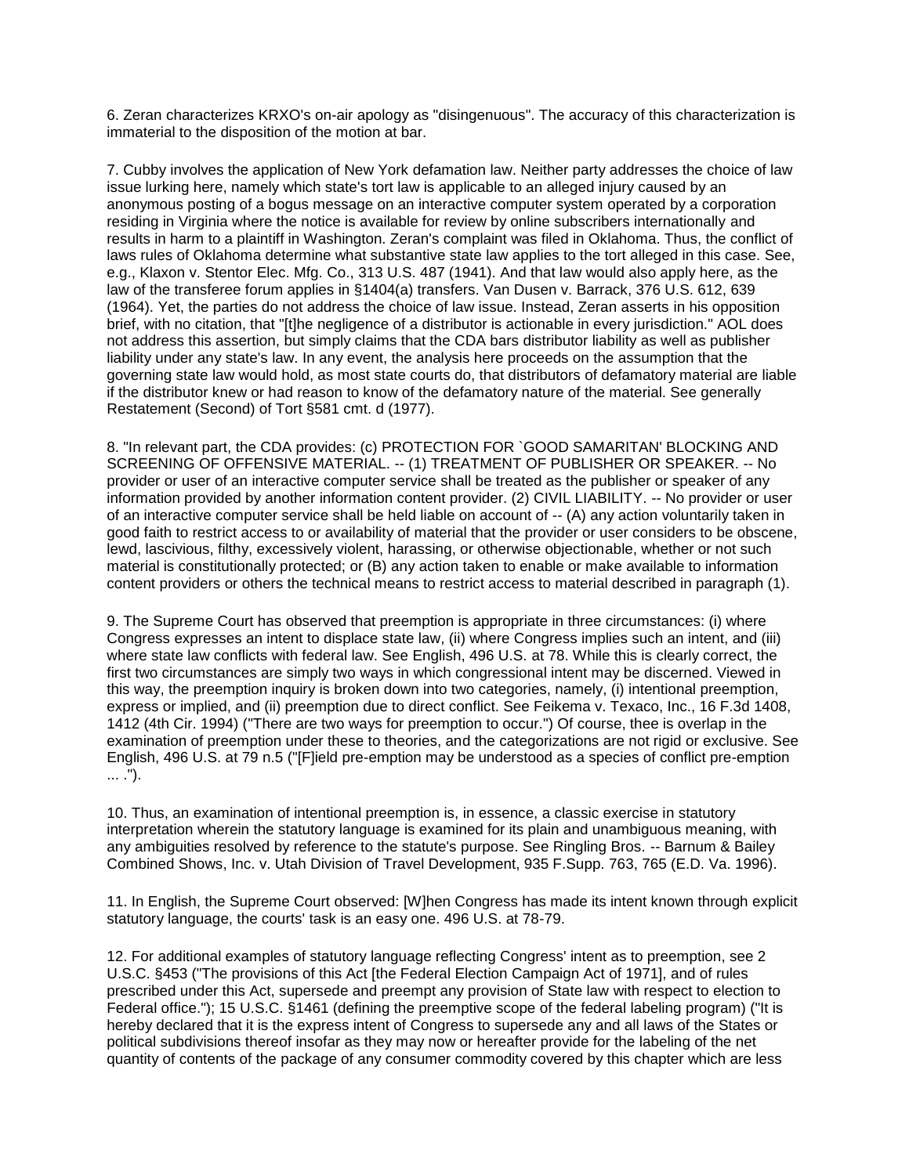6. Zeran characterizes KRXO's on-air apology as "disingenuous". The accuracy of this characterization is immaterial to the disposition of the motion at bar.

7. Cubby involves the application of New York defamation law. Neither party addresses the choice of law issue lurking here, namely which state's tort law is applicable to an alleged injury caused by an anonymous posting of a bogus message on an interactive computer system operated by a corporation residing in Virginia where the notice is available for review by online subscribers internationally and results in harm to a plaintiff in Washington. Zeran's complaint was filed in Oklahoma. Thus, the conflict of laws rules of Oklahoma determine what substantive state law applies to the tort alleged in this case. See, e.g., Klaxon v. Stentor Elec. Mfg. Co., 313 U.S. 487 (1941). And that law would also apply here, as the law of the transferee forum applies in §1404(a) transfers. Van Dusen v. Barrack, 376 U.S. 612, 639 (1964). Yet, the parties do not address the choice of law issue. Instead, Zeran asserts in his opposition brief, with no citation, that "[t]he negligence of a distributor is actionable in every jurisdiction." AOL does not address this assertion, but simply claims that the CDA bars distributor liability as well as publisher liability under any state's law. In any event, the analysis here proceeds on the assumption that the governing state law would hold, as most state courts do, that distributors of defamatory material are liable if the distributor knew or had reason to know of the defamatory nature of the material. See generally Restatement (Second) of Tort §581 cmt. d (1977).

8. "In relevant part, the CDA provides: (c) PROTECTION FOR `GOOD SAMARITAN' BLOCKING AND SCREENING OF OFFENSIVE MATERIAL. -- (1) TREATMENT OF PUBLISHER OR SPEAKER. -- No provider or user of an interactive computer service shall be treated as the publisher or speaker of any information provided by another information content provider. (2) CIVIL LIABILITY. -- No provider or user of an interactive computer service shall be held liable on account of -- (A) any action voluntarily taken in good faith to restrict access to or availability of material that the provider or user considers to be obscene, lewd, lascivious, filthy, excessively violent, harassing, or otherwise objectionable, whether or not such material is constitutionally protected; or (B) any action taken to enable or make available to information content providers or others the technical means to restrict access to material described in paragraph (1).

9. The Supreme Court has observed that preemption is appropriate in three circumstances: (i) where Congress expresses an intent to displace state law, (ii) where Congress implies such an intent, and (iii) where state law conflicts with federal law. See English, 496 U.S. at 78. While this is clearly correct, the first two circumstances are simply two ways in which congressional intent may be discerned. Viewed in this way, the preemption inquiry is broken down into two categories, namely, (i) intentional preemption, express or implied, and (ii) preemption due to direct conflict. See Feikema v. Texaco, Inc., 16 F.3d 1408, 1412 (4th Cir. 1994) ("There are two ways for preemption to occur.") Of course, thee is overlap in the examination of preemption under these to theories, and the categorizations are not rigid or exclusive. See English, 496 U.S. at 79 n.5 ("[F]ield pre-emption may be understood as a species of conflict pre-emption ... .").

10. Thus, an examination of intentional preemption is, in essence, a classic exercise in statutory interpretation wherein the statutory language is examined for its plain and unambiguous meaning, with any ambiguities resolved by reference to the statute's purpose. See Ringling Bros. -- Barnum & Bailey Combined Shows, Inc. v. Utah Division of Travel Development, 935 F.Supp. 763, 765 (E.D. Va. 1996).

11. In English, the Supreme Court observed: [W]hen Congress has made its intent known through explicit statutory language, the courts' task is an easy one. 496 U.S. at 78-79.

12. For additional examples of statutory language reflecting Congress' intent as to preemption, see 2 U.S.C. §453 ("The provisions of this Act [the Federal Election Campaign Act of 1971], and of rules prescribed under this Act, supersede and preempt any provision of State law with respect to election to Federal office."); 15 U.S.C. §1461 (defining the preemptive scope of the federal labeling program) ("It is hereby declared that it is the express intent of Congress to supersede any and all laws of the States or political subdivisions thereof insofar as they may now or hereafter provide for the labeling of the net quantity of contents of the package of any consumer commodity covered by this chapter which are less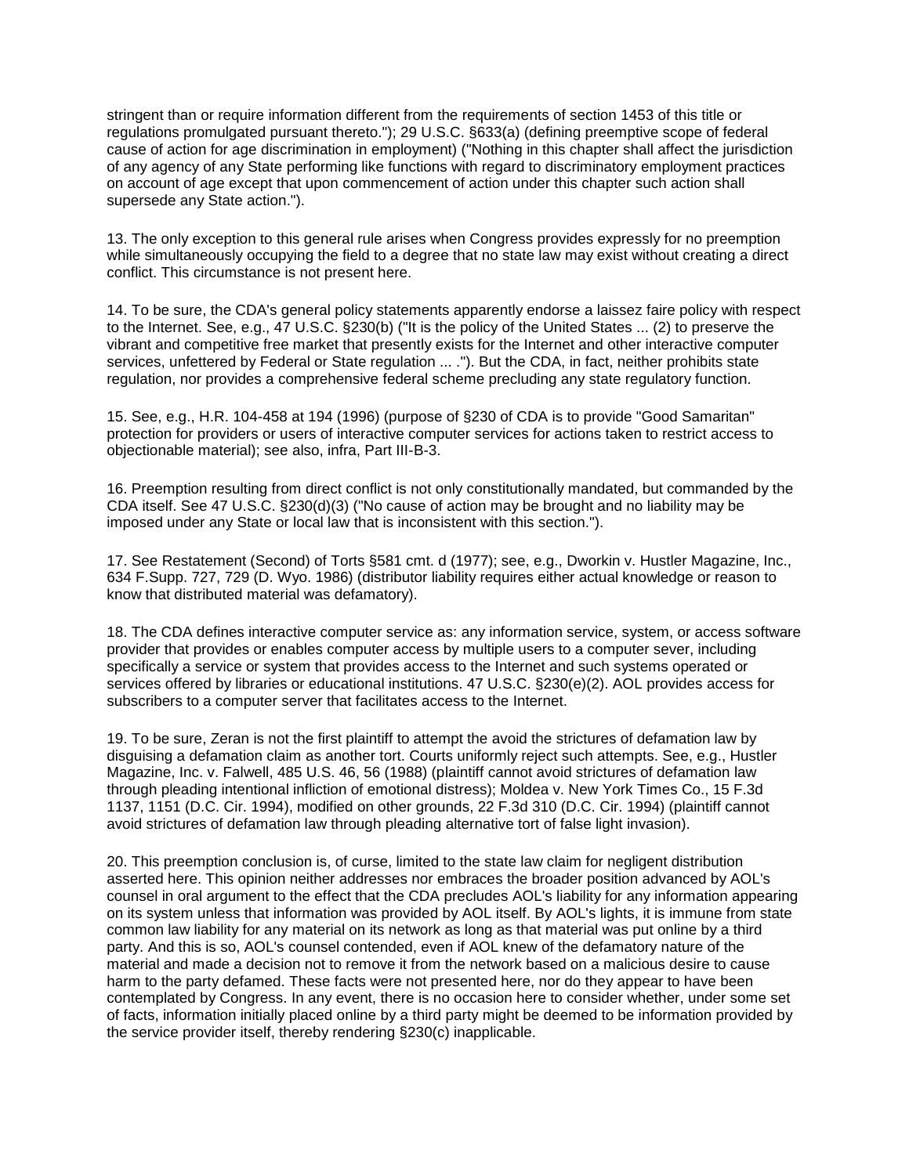stringent than or require information different from the requirements of section 1453 of this title or regulations promulgated pursuant thereto."); 29 U.S.C. §633(a) (defining preemptive scope of federal cause of action for age discrimination in employment) ("Nothing in this chapter shall affect the jurisdiction of any agency of any State performing like functions with regard to discriminatory employment practices on account of age except that upon commencement of action under this chapter such action shall supersede any State action.").

13. The only exception to this general rule arises when Congress provides expressly for no preemption while simultaneously occupying the field to a degree that no state law may exist without creating a direct conflict. This circumstance is not present here.

14. To be sure, the CDA's general policy statements apparently endorse a laissez faire policy with respect to the Internet. See, e.g., 47 U.S.C. §230(b) ("It is the policy of the United States ... (2) to preserve the vibrant and competitive free market that presently exists for the Internet and other interactive computer services, unfettered by Federal or State regulation ... ."). But the CDA, in fact, neither prohibits state regulation, nor provides a comprehensive federal scheme precluding any state regulatory function.

15. See, e.g., H.R. 104-458 at 194 (1996) (purpose of §230 of CDA is to provide "Good Samaritan" protection for providers or users of interactive computer services for actions taken to restrict access to objectionable material); see also, infra, Part III-B-3.

16. Preemption resulting from direct conflict is not only constitutionally mandated, but commanded by the CDA itself. See 47 U.S.C. §230(d)(3) ("No cause of action may be brought and no liability may be imposed under any State or local law that is inconsistent with this section.").

17. See Restatement (Second) of Torts §581 cmt. d (1977); see, e.g., Dworkin v. Hustler Magazine, Inc., 634 F.Supp. 727, 729 (D. Wyo. 1986) (distributor liability requires either actual knowledge or reason to know that distributed material was defamatory).

18. The CDA defines interactive computer service as: any information service, system, or access software provider that provides or enables computer access by multiple users to a computer sever, including specifically a service or system that provides access to the Internet and such systems operated or services offered by libraries or educational institutions. 47 U.S.C. §230(e)(2). AOL provides access for subscribers to a computer server that facilitates access to the Internet.

19. To be sure, Zeran is not the first plaintiff to attempt the avoid the strictures of defamation law by disguising a defamation claim as another tort. Courts uniformly reject such attempts. See, e.g., Hustler Magazine, Inc. v. Falwell, 485 U.S. 46, 56 (1988) (plaintiff cannot avoid strictures of defamation law through pleading intentional infliction of emotional distress); Moldea v. New York Times Co., 15 F.3d 1137, 1151 (D.C. Cir. 1994), modified on other grounds, 22 F.3d 310 (D.C. Cir. 1994) (plaintiff cannot avoid strictures of defamation law through pleading alternative tort of false light invasion).

20. This preemption conclusion is, of curse, limited to the state law claim for negligent distribution asserted here. This opinion neither addresses nor embraces the broader position advanced by AOL's counsel in oral argument to the effect that the CDA precludes AOL's liability for any information appearing on its system unless that information was provided by AOL itself. By AOL's lights, it is immune from state common law liability for any material on its network as long as that material was put online by a third party. And this is so, AOL's counsel contended, even if AOL knew of the defamatory nature of the material and made a decision not to remove it from the network based on a malicious desire to cause harm to the party defamed. These facts were not presented here, nor do they appear to have been contemplated by Congress. In any event, there is no occasion here to consider whether, under some set of facts, information initially placed online by a third party might be deemed to be information provided by the service provider itself, thereby rendering §230(c) inapplicable.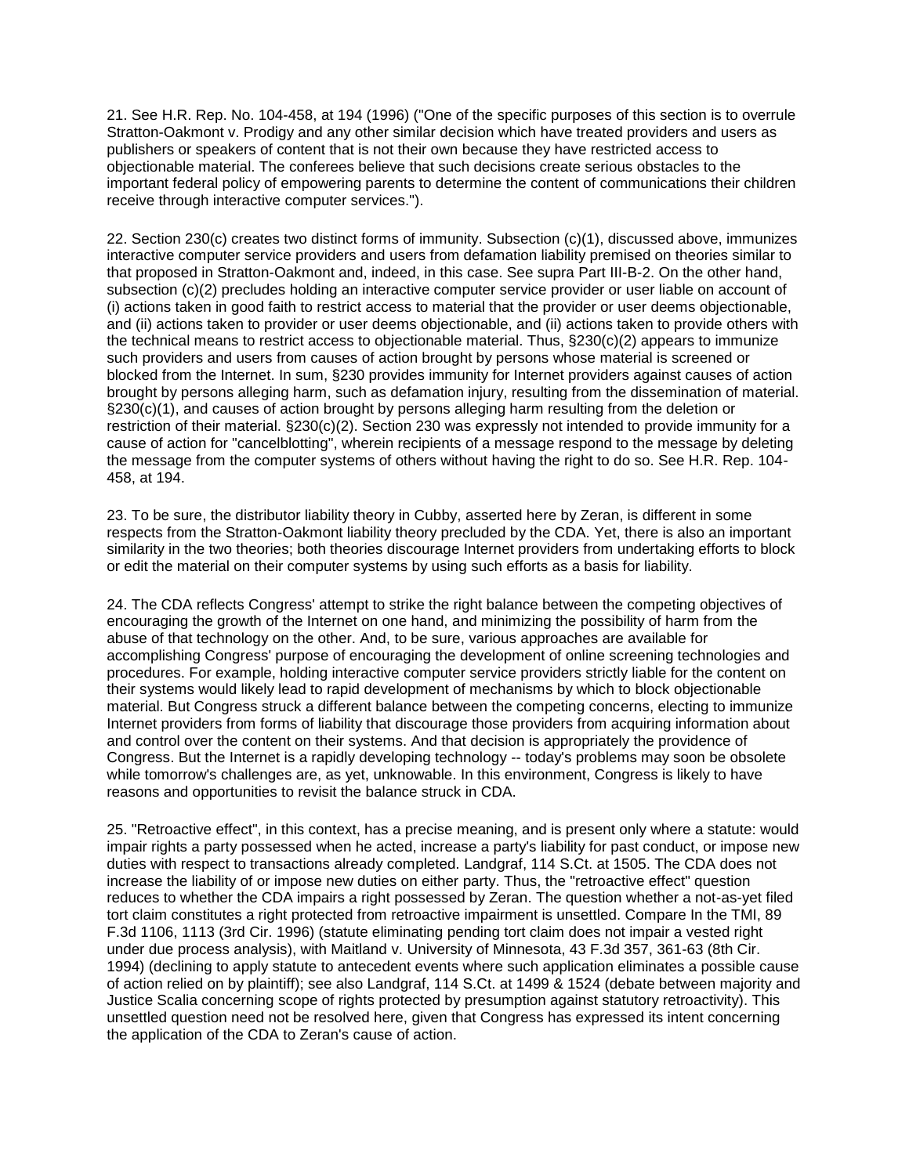21. See H.R. Rep. No. 104-458, at 194 (1996) ("One of the specific purposes of this section is to overrule Stratton-Oakmont v. Prodigy and any other similar decision which have treated providers and users as publishers or speakers of content that is not their own because they have restricted access to objectionable material. The conferees believe that such decisions create serious obstacles to the important federal policy of empowering parents to determine the content of communications their children receive through interactive computer services.").

22. Section 230(c) creates two distinct forms of immunity. Subsection (c)(1), discussed above, immunizes interactive computer service providers and users from defamation liability premised on theories similar to that proposed in Stratton-Oakmont and, indeed, in this case. See supra Part III-B-2. On the other hand, subsection (c)(2) precludes holding an interactive computer service provider or user liable on account of (i) actions taken in good faith to restrict access to material that the provider or user deems objectionable, and (ii) actions taken to provider or user deems objectionable, and (ii) actions taken to provide others with the technical means to restrict access to objectionable material. Thus, §230(c)(2) appears to immunize such providers and users from causes of action brought by persons whose material is screened or blocked from the Internet. In sum, §230 provides immunity for Internet providers against causes of action brought by persons alleging harm, such as defamation injury, resulting from the dissemination of material. §230(c)(1), and causes of action brought by persons alleging harm resulting from the deletion or restriction of their material. §230(c)(2). Section 230 was expressly not intended to provide immunity for a cause of action for "cancelblotting", wherein recipients of a message respond to the message by deleting the message from the computer systems of others without having the right to do so. See H.R. Rep. 104- 458, at 194.

23. To be sure, the distributor liability theory in Cubby, asserted here by Zeran, is different in some respects from the Stratton-Oakmont liability theory precluded by the CDA. Yet, there is also an important similarity in the two theories; both theories discourage Internet providers from undertaking efforts to block or edit the material on their computer systems by using such efforts as a basis for liability.

24. The CDA reflects Congress' attempt to strike the right balance between the competing objectives of encouraging the growth of the Internet on one hand, and minimizing the possibility of harm from the abuse of that technology on the other. And, to be sure, various approaches are available for accomplishing Congress' purpose of encouraging the development of online screening technologies and procedures. For example, holding interactive computer service providers strictly liable for the content on their systems would likely lead to rapid development of mechanisms by which to block objectionable material. But Congress struck a different balance between the competing concerns, electing to immunize Internet providers from forms of liability that discourage those providers from acquiring information about and control over the content on their systems. And that decision is appropriately the providence of Congress. But the Internet is a rapidly developing technology -- today's problems may soon be obsolete while tomorrow's challenges are, as yet, unknowable. In this environment, Congress is likely to have reasons and opportunities to revisit the balance struck in CDA.

25. "Retroactive effect", in this context, has a precise meaning, and is present only where a statute: would impair rights a party possessed when he acted, increase a party's liability for past conduct, or impose new duties with respect to transactions already completed. Landgraf, 114 S.Ct. at 1505. The CDA does not increase the liability of or impose new duties on either party. Thus, the "retroactive effect" question reduces to whether the CDA impairs a right possessed by Zeran. The question whether a not-as-yet filed tort claim constitutes a right protected from retroactive impairment is unsettled. Compare In the TMI, 89 F.3d 1106, 1113 (3rd Cir. 1996) (statute eliminating pending tort claim does not impair a vested right under due process analysis), with Maitland v. University of Minnesota, 43 F.3d 357, 361-63 (8th Cir. 1994) (declining to apply statute to antecedent events where such application eliminates a possible cause of action relied on by plaintiff); see also Landgraf, 114 S.Ct. at 1499 & 1524 (debate between majority and Justice Scalia concerning scope of rights protected by presumption against statutory retroactivity). This unsettled question need not be resolved here, given that Congress has expressed its intent concerning the application of the CDA to Zeran's cause of action.